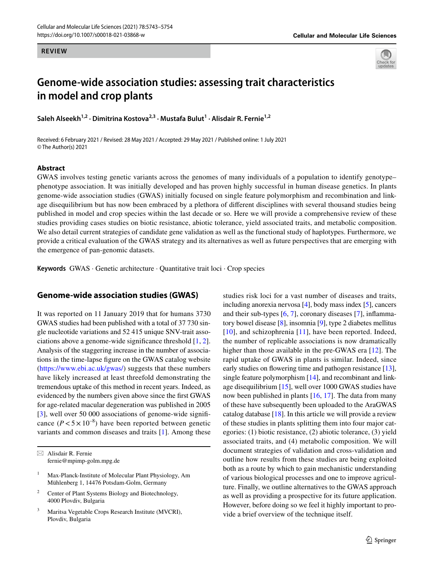#### **REVIEW**



# **Genome‑wide association studies: assessing trait characteristics in model and crop plants**

**Saleh Alseekh1,2 · Dimitrina Kostova2,3 · Mustafa Bulut1 · Alisdair R. Fernie1,2**

Received: 6 February 2021 / Revised: 28 May 2021 / Accepted: 29 May 2021 / Published online: 1 July 2021 © The Author(s) 2021

#### **Abstract**

GWAS involves testing genetic variants across the genomes of many individuals of a population to identify genotype– phenotype association. It was initially developed and has proven highly successful in human disease genetics. In plants genome-wide association studies (GWAS) initially focused on single feature polymorphism and recombination and linkage disequilibrium but has now been embraced by a plethora of diferent disciplines with several thousand studies being published in model and crop species within the last decade or so. Here we will provide a comprehensive review of these studies providing cases studies on biotic resistance, abiotic tolerance, yield associated traits, and metabolic composition. We also detail current strategies of candidate gene validation as well as the functional study of haplotypes. Furthermore, we provide a critical evaluation of the GWAS strategy and its alternatives as well as future perspectives that are emerging with the emergence of pan-genomic datasets.

**Keywords** GWAS · Genetic architecture · Quantitative trait loci · Crop species

#### **Genome‑wide association studies (GWAS)**

It was reported on 11 January 2019 that for humans 3730 GWAS studies had been published with a total of 37 730 single nucleotide variations and 52 415 unique SNV-trait associations above a genome-wide signifcance threshold [\[1](#page-8-0), [2](#page-8-1)]. Analysis of the staggering increase in the number of associations in the time-lapse fgure on the GWAS catalog website [\(https://www.ebi.ac.uk/gwas/](https://www.ebi.ac.uk/gwas/)) suggests that these numbers have likely increased at least threefold demonstrating the tremendous uptake of this method in recent years. Indeed, as evidenced by the numbers given above since the frst GWAS for age-related macular degeneration was published in 2005 [\[3](#page-8-2)], well over 50 000 associations of genome-wide significance  $(P < 5 \times 10^{-8})$  have been reported between genetic variants and common diseases and traits [\[1](#page-8-0)]. Among these studies risk loci for a vast number of diseases and traits, including anorexia nervosa [[4\]](#page-8-3), body mass index [[5\]](#page-8-4), cancers and their sub-types [[6,](#page-8-5) [7\]](#page-8-6), coronary diseases [\[7](#page-8-6)], infammatory bowel disease [\[8](#page-8-7)], insomnia [[9\]](#page-8-8), type 2 diabetes mellitus [[10\]](#page-8-9), and schizophrenia [[11](#page-8-10)], have been reported. Indeed, the number of replicable associations is now dramatically higher than those available in the pre-GWAS era [[12\]](#page-8-11). The rapid uptake of GWAS in plants is similar. Indeed, since early studies on flowering time and pathogen resistance [[13](#page-8-12)], single feature polymorphism [\[14](#page-8-13)], and recombinant and linkage disequilibrium [\[15](#page-8-14)], well over 1000 GWAS studies have now been published in plants [\[16](#page-8-15), [17](#page-8-16)]. The data from many of these have subsequently been uploaded to the AraGWAS catalog database [\[18](#page-8-17)]. In this article we will provide a review of these studies in plants splitting them into four major categories: (1) biotic resistance, (2) abiotic tolerance, (3) yield associated traits, and (4) metabolic composition. We will document strategies of validation and cross-validation and outline how results from these studies are being exploited both as a route by which to gain mechanistic understanding of various biological processes and one to improve agriculture. Finally, we outline alternatives to the GWAS approach as well as providing a prospective for its future application. However, before doing so we feel it highly important to provide a brief overview of the technique itself.

 $\boxtimes$  Alisdair R. Fernie fernie@mpimp-golm.mpg.de

<sup>&</sup>lt;sup>1</sup> Max-Planck-Institute of Molecular Plant Physiology, Am Mühlenberg 1, 14476 Potsdam-Golm, Germany

<sup>2</sup> Center of Plant Systems Biology and Biotechnology, 4000 Plovdiv, Bulgaria

<sup>3</sup> Maritsa Vegetable Crops Research Institute (MVCRI), Plovdiv, Bulgaria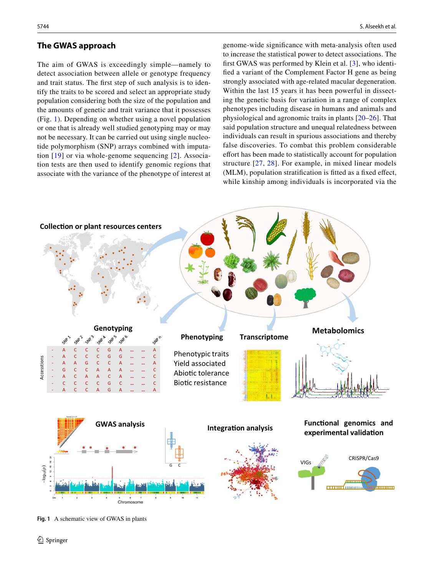#### **The GWAS approach**

The aim of GWAS is exceedingly simple—namely to detect association between allele or genotype frequency and trait status. The frst step of such analysis is to identify the traits to be scored and select an appropriate study population considering both the size of the population and the amounts of genetic and trait variance that it possesses (Fig. [1](#page-1-0)). Depending on whether using a novel population or one that is already well studied genotyping may or may not be necessary. It can be carried out using single nucleotide polymorphism (SNP) arrays combined with imputation [[19\]](#page-8-18) or via whole-genome sequencing [[2](#page-8-1)]. Association tests are then used to identify genomic regions that associate with the variance of the phenotype of interest at

genome-wide signifcance with meta-analysis often used to increase the statistical power to detect associations. The frst GWAS was performed by Klein et al. [\[3\]](#page-8-2), who identifed a variant of the Complement Factor H gene as being strongly associated with age-related macular degeneration. Within the last 15 years it has been powerful in dissecting the genetic basis for variation in a range of complex phenotypes including disease in humans and animals and physiological and agronomic traits in plants [\[20–](#page-8-19)[26](#page-8-20)]. That said population structure and unequal relatedness between individuals can result in spurious associations and thereby false discoveries. To combat this problem considerable effort has been made to statistically account for population structure [\[27,](#page-8-21) [28](#page-8-22)]. For example, in mixed linear models (MLM), population stratifcation is ftted as a fxed efect, while kinship among individuals is incorporated via the



<span id="page-1-0"></span>**Fig. 1** A schematic view of GWAS in plants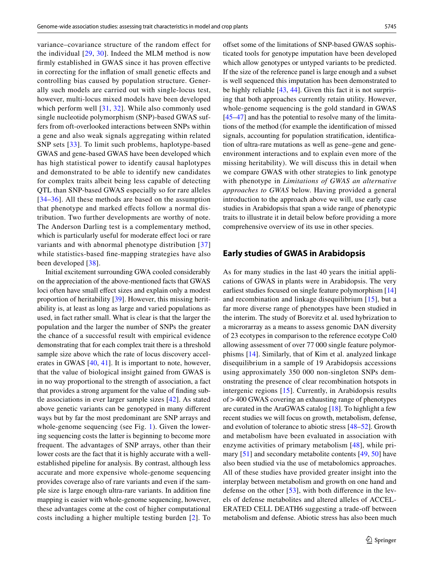variance–covariance structure of the random efect for the individual [\[29,](#page-8-23) [30\]](#page-8-24). Indeed the MLM method is now frmly established in GWAS since it has proven efective in correcting for the infation of small genetic efects and controlling bias caused by population structure. Generally such models are carried out with single-locus test, however, multi-locus mixed models have been developed which perform well [[31](#page-8-25), [32](#page-8-26)]. While also commonly used single nucleotide polymorphism (SNP)-based GWAS suffers from oft-overlooked interactions between SNPs within a gene and also weak signals aggregating within related SNP sets [[33](#page-8-27)]. To limit such problems, haplotype-based GWAS and gene-based GWAS have been developed which has high statistical power to identify causal haplotypes and demonstrated to be able to identify new candidates for complex traits albeit being less capable of detecting QTL than SNP-based GWAS especially so for rare alleles [[34](#page-8-28)[–36\]](#page-8-29). All these methods are based on the assumption that phenotype and marked efects follow a normal distribution. Two further developments are worthy of note. The Anderson Darling test is a complementary method, which is particularly useful for moderate effect loci or rare variants and with abnormal phenotype distribution [[37\]](#page-8-30) while statistics-based fne-mapping strategies have also been developed [[38](#page-8-31)].

Initial excitement surrounding GWA cooled considerably on the appreciation of the above-mentioned facts that GWAS loci often have small effect sizes and explain only a modest proportion of heritability [\[39](#page-8-32)]. However, this missing heritability is, at least as long as large and varied populations as used, in fact rather small. What is clear is that the larger the population and the larger the number of SNPs the greater the chance of a successful result with empirical evidence demonstrating that for each complex trait there is a threshold sample size above which the rate of locus discovery accelerates in GWAS [\[40](#page-8-33), [41\]](#page-8-34). It is important to note, however, that the value of biological insight gained from GWAS is in no way proportional to the strength of association, a fact that provides a strong argument for the value of fnding subtle associations in ever larger sample sizes [[42](#page-8-35)]. As stated above genetic variants can be genotyped in many diferent ways but by far the most predominant are SNP arrays and whole-genome sequencing (see Fig. [1\)](#page-1-0). Given the lowering sequencing costs the latter is beginning to become more frequent. The advantages of SNP arrays, other than their lower costs are the fact that it is highly accurate with a wellestablished pipeline for analysis. By contrast, although less accurate and more expensive whole-genome sequencing provides coverage also of rare variants and even if the sample size is large enough ultra-rare variants. In addition fne mapping is easier with whole-genome sequencing, however, these advantages come at the cost of higher computational costs including a higher multiple testing burden [\[2](#page-8-1)]. To offset some of the limitations of SNP-based GWAS sophisticated tools for genotype imputation have been developed which allow genotypes or untyped variants to be predicted. If the size of the reference panel is large enough and a subset is well sequenced this imputation has been demonstrated to be highly reliable [\[43](#page-8-36), [44\]](#page-8-37). Given this fact it is not surprising that both approaches currently retain utility. However, whole-genome sequencing is the gold standard in GWAS [[45–](#page-8-38)[47\]](#page-8-39) and has the potential to resolve many of the limitations of the method (for example the identifcation of missed signals, accounting for population stratifcation, identifcation of ultra-rare mutations as well as gene–gene and geneenvironment interactions and to explain even more of the missing heritability). We will discuss this in detail when we compare GWAS with other strategies to link genotype with phenotype in *Limitations of GWAS an alternative approaches to GWAS* below. Having provided a general introduction to the approach above we will, use early case studies in Arabidopsis that span a wide range of phenotypic traits to illustrate it in detail below before providing a more comprehensive overview of its use in other species.

#### **Early studies of GWAS in Arabidopsis**

As for many studies in the last 40 years the initial applications of GWAS in plants were in Arabidopsis. The very earliest studies focused on single feature polymorphism [[14\]](#page-8-13) and recombination and linkage disequilibrium [\[15\]](#page-8-14), but a far more diverse range of phenotypes have been studied in the interim. The study of Borevitz et al. used hybrization to a microrarray as a means to assess genomic DAN diversity of 23 ecotypes in comparison to the reference ecotype Col0 allowing assessment of over 77 000 single feature polymorphisms [\[14](#page-8-13)]. Similarly, that of Kim et al. analyzed linkage disequilibrium in a sample of 19 Arabidopsis accessions using approximately 350 000 non-singleton SNPs demonstrating the presence of clear recombination hotspots in intergenic regions [[15](#page-8-14)]. Currently, in Arabidopsis results of>400 GWAS covering an exhausting range of phenotypes are curated in the AraGWAS catalog [[18\]](#page-8-17). To highlight a few recent studies we will focus on growth, metabolism, defense, and evolution of tolerance to abiotic stress [\[48](#page-9-0)–[52\]](#page-9-1). Growth and metabolism have been evaluated in association with enzyme activities of primary metabolism [[48](#page-9-0)], while primary [[51](#page-9-2)] and secondary metabolite contents [[49,](#page-9-3) [50\]](#page-9-4) have also been studied via the use of metabolomics approaches. All of these studies have provided greater insight into the interplay between metabolism and growth on one hand and defense on the other [\[53\]](#page-9-5), with both diference in the levels of defense metabolites and altered alleles of ACCEL-ERATED CELL DEATH6 suggesting a trade-off between metabolism and defense. Abiotic stress has also been much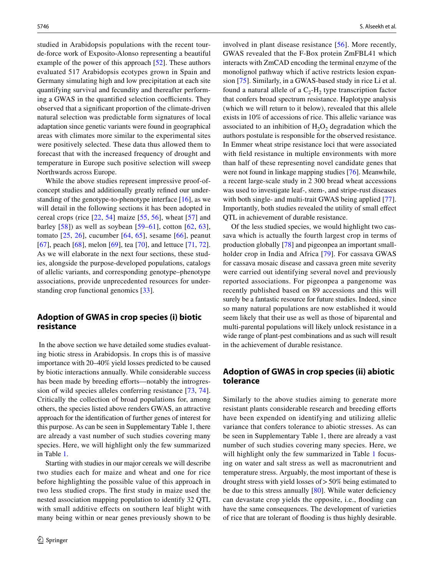studied in Arabidopsis populations with the recent tourde-force work of Exposito-Alonso representing a beautiful example of the power of this approach [[52\]](#page-9-1). These authors evaluated 517 Arabidopsis ecotypes grown in Spain and Germany simulating high and low precipitation at each site quantifying survival and fecundity and thereafter performing a GWAS in the quantified selection coefficients. They observed that a signifcant proportion of the climate-driven natural selection was predictable form signatures of local adaptation since genetic variants were found in geographical areas with climates more similar to the experimental sites were positively selected. These data thus allowed them to forecast that with the increased frequency of drought and temperature in Europe such positive selection will sweep Northwards across Europe.

While the above studies represent impressive proof-ofconcept studies and additionally greatly refned our understanding of the genotype-to-phenotype interface  $[16]$  $[16]$ , as we will detail in the following sections it has been adopted in cereal crops (rice [[22](#page-8-40), [54\]](#page-9-6) maize [[55](#page-9-7), [56](#page-9-8)], wheat [[57](#page-9-9)] and barley  $[58]$ ) as well as soybean  $[59–61]$  $[59–61]$  $[59–61]$ , cotton  $[62, 63]$  $[62, 63]$  $[62, 63]$  $[62, 63]$  $[62, 63]$ , tomato [\[25,](#page-8-41) [26\]](#page-8-20), cucumber [[64,](#page-9-15) [65](#page-9-16)], sesame [[66](#page-9-17)], peanut [\[67\]](#page-9-18), peach [[68\]](#page-9-19), melon [\[69\]](#page-9-20), tea [[70](#page-9-21)], and lettuce [[71,](#page-9-22) [72](#page-9-23)]. As we will elaborate in the next four sections, these studies, alongside the purpose-developed populations, catalogs of allelic variants, and corresponding genotype–phenotype associations, provide unprecedented resources for understanding crop functional genomics [[33](#page-8-27)].

## **Adoption of GWAS in crop species (i) biotic resistance**

 In the above section we have detailed some studies evaluating biotic stress in Arabidopsis. In crops this is of massive importance with 20–40% yield losses predicted to be caused by biotic interactions annually. While considerable success has been made by breeding efforts—notably the introgression of wild species alleles conferring resistance [\[73,](#page-9-24) [74](#page-9-25)]. Critically the collection of broad populations for, among others, the species listed above renders GWAS, an attractive approach for the identifcation of further genes of interest for this purpose. As can be seen in Supplementary Table 1, there are already a vast number of such studies covering many species. Here, we will highlight only the few summarized in Table [1](#page-4-0).

Starting with studies in our major cereals we will describe two studies each for maize and wheat and one for rice before highlighting the possible value of this approach in two less studied crops. The frst study in maize used the nested association mapping population to identify 32 QTL with small additive effects on southern leaf blight with many being within or near genes previously shown to be

involved in plant disease resistance [[56](#page-9-8)]. More recently, GWAS revealed that the F-Box protein ZmFBL41 which interacts with ZmCAD encoding the terminal enzyme of the monolignol pathway which if active restricts lesion expansion [[75\]](#page-9-26). Similarly, in a GWAS-based study in rice Li et al. found a natural allele of a  $C_2$ -H<sub>2</sub> type transcription factor that confers broad spectrum resistance. Haplotype analysis (which we will return to it below), revealed that this allele exists in 10% of accessions of rice. This allelic variance was associated to an inhibition of  $H_2O_2$  degradation which the authors postulate is responsible for the observed resistance. In Emmer wheat stripe resistance loci that were associated with feld resistance in multiple environments with more than half of these representing novel candidate genes that were not found in linkage mapping studies [\[76](#page-9-27)]. Meanwhile, a recent large-scale study in 2 300 bread wheat accessions was used to investigate leaf-, stem-, and stripe-rust diseases with both single- and multi-trait GWAS being applied [\[77](#page-9-28)]. Importantly, both studies revealed the utility of small efect QTL in achievement of durable resistance.

Of the less studied species, we would highlight two cassava which is actually the fourth largest crop in terms of production globally [\[78](#page-9-29)] and pigeonpea an important smallholder crop in India and Africa [[79\]](#page-9-30). For cassava GWAS for cassava mosaic disease and cassava green mite severity were carried out identifying several novel and previously reported associations. For pigeonpea a pangenome was recently published based on 89 accessions and this will surely be a fantastic resource for future studies. Indeed, since so many natural populations are now established it would seem likely that their use as well as those of biparental and multi-parental populations will likely unlock resistance in a wide range of plant-pest combinations and as such will result in the achievement of durable resistance.

#### **Adoption of GWAS in crop species (ii) abiotic tolerance**

Similarly to the above studies aiming to generate more resistant plants considerable research and breeding eforts have been expended on identifying and utilizing allelic variance that confers tolerance to abiotic stresses. As can be seen in Supplementary Table 1, there are already a vast number of such studies covering many species. Here, we will highlight only the few summarized in Table [1](#page-4-0) focusing on water and salt stress as well as macronutrient and temperature stress. Arguably, the most important of these is drought stress with yield losses of>50% being estimated to be due to this stress annually  $[80]$  $[80]$ . While water deficiency can devastate crop yields the opposite, i.e., fooding can have the same consequences. The development of varieties of rice that are tolerant of fooding is thus highly desirable.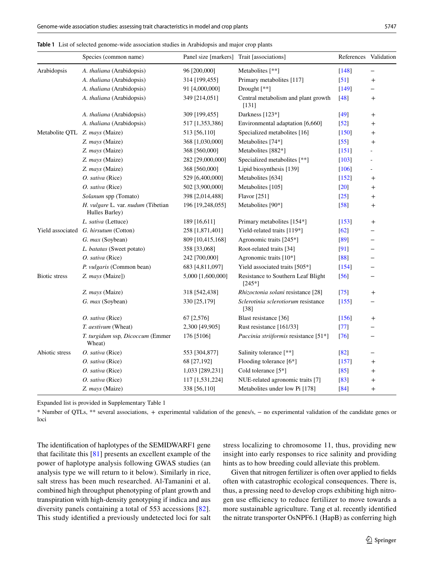<span id="page-4-0"></span>

|  | Table 1 List of selected genome-wide association studies in Arabidopsis and major crop plants |  |  |  |  |  |  |  |  |
|--|-----------------------------------------------------------------------------------------------|--|--|--|--|--|--|--|--|
|--|-----------------------------------------------------------------------------------------------|--|--|--|--|--|--|--|--|

|                | Species (common name)                                | Panel size [markers] | Trait [associations]                           | References Validation |                  |
|----------------|------------------------------------------------------|----------------------|------------------------------------------------|-----------------------|------------------|
| Arabidopsis    | A. thaliana (Arabidopsis)                            | 96 [200,000]         | Metabolites [**]                               | [148]                 |                  |
|                | A. thaliana (Arabidopsis)                            | 314 [199,455]        | Primary metabolites [117]                      | $[51]$                | $\ddag$          |
|                | A. thaliana (Arabidopsis)                            | 91 [4,000,000]       | Drought [**]                                   | $[149]$               |                  |
|                | A. thaliana (Arabidopsis)                            | 349 [214,051]        | Central metabolism and plant growth<br>[131]   | $[48]$                | $^{+}$           |
|                | A. thaliana (Arabidopsis)                            | 309 [199,455]        | Darkness [123*]                                | $[49]$                | $^{+}$           |
|                | A. thaliana (Arabidopsis)                            | 517 [1,353,386]      | Environmental adaptation [6,660]               | $[52]$                | $\, +$           |
|                | Metabolite QTL Z. mays (Maize)                       | 513 [56,110]         | Specialized metabolites [16]                   | $[150]$               | $^{+}$           |
|                | Z. mays (Maize)                                      | 368 [1,030,000]      | Metabolites [74*]                              | $[55]$                | $\ddag$          |
|                | Z. mays (Maize)                                      | 368 [560,000]        | Metabolites [882*]                             | $[151]$               |                  |
|                | Z. mays (Maize)                                      | 282 [29,000,000]     | Specialized metabolites [**]                   | $\lceil 103 \rceil$   |                  |
|                | Z. mays (Maize)                                      | 368 [560,000]        | Lipid biosynthesis [139]                       | [106]                 | ÷                |
|                | O. sativa (Rice)                                     | 529 [6,400,000]      | Metabolites [634]                              | [152]                 | $\pm$            |
|                | O. sativa (Rice)                                     | 502 [3,900,000]      | Metabolites [105]                              | $[20]$                | $^{+}$           |
|                | Solanum spp (Tomato)                                 | 398 [2,014,488]      | <b>Flavor</b> [251]                            | $[25]$                | $\boldsymbol{+}$ |
|                | H. vulgare L. var. nudum (Tibetian<br>Hulles Barley) | 196 [19,248,055]     | Metabolites [90*]                              | $[58]$                | $^{+}$           |
|                | L. sativa (Lettuce)                                  | 189 [16,611]         | Primary metabolites [154*]                     | [153]                 | $^{+}$           |
|                | Yield associated G. hirsutum (Cotton)                | 258 [1,871,401]      | Yield-related traits [119*]                    | [62]                  |                  |
|                | G. max (Soybean)                                     | 809 [10,415,168]     | Agronomic traits [245*]                        | [89]                  |                  |
|                | L. batatas (Sweet potato)                            | 358 [33,068]         | Root-related traits [34]                       | [91]                  |                  |
|                | O. sativa (Rice)                                     | 242 [700,000]        | Agronomic traits [10*]                         | [88]                  |                  |
|                | P. vulgaris (Common bean)                            | 683 [4,811,097]      | Yield associated traits [505*]                 | [154]                 |                  |
| Biotic stress  | Z. mays (Maize])                                     | 5,000 [1,600,000]    | Resistance to Southern Leaf Blight<br>$[245*]$ | $[56]$                |                  |
|                | Z. mays (Maize)                                      | 318 [542,438]        | Rhizoctonia solani resistance [28]             | $[75]$                | $\boldsymbol{+}$ |
|                | G. max (Soybean)                                     | 330 [25,179]         | Sclerotinia sclerotiorum resistance<br>$[38]$  | [155]                 |                  |
|                | O. sativa (Rice)                                     | 67 [2,576]           | Blast resistance [36]                          | $\lceil 156 \rceil$   | $^{+}$           |
|                | T. aestivum (Wheat)                                  | 2,300 [49,905]       | Rust resistance [161/33]                       | $[77]$                |                  |
|                | T. turgidum ssp, Dicoccum (Emmer<br>Wheat)           | 176 [5106]           | Puccinia striiformis resistance [51*]          | [76]                  |                  |
| Abiotic stress | O. sativa (Rice)                                     | 553 [304,877]        | Salinity tolerance [**]                        | $[82]$                |                  |
|                | O. sativa (Rice)                                     | 68 [27,192]          | Flooding tolerance [6*]                        | $[157]$               | $\boldsymbol{+}$ |
|                | O. sativa (Rice)                                     | 1,033 [289,231]      | Cold tolerance [5*]                            | $[85]$                | $\boldsymbol{+}$ |
|                | O. sativa (Rice)                                     | 117 [1,531,224]      | NUE-related agronomic traits [7]               | [83]                  | $\overline{+}$   |
|                | Z. mays (Maize)                                      | 338 [56,110]         | Metabolites under low Pi [178]                 | $[84]$                | $^{+}$           |

Expanded list is provided in Supplementary Table 1

\* Number of QTLs, \*\* several associations, + experimental validation of the genes/s, − no experimental validation of the candidate genes or loci

The identifcation of haplotypes of the SEMIDWARF1 gene that facilitate this [\[81](#page-9-32)] presents an excellent example of the power of haplotype analysis following GWAS studies (an analysis type we will return to it below). Similarly in rice, salt stress has been much researched. Al-Tamanini et al. combined high throughput phenotyping of plant growth and transpiration with high-density genotyping if indica and aus diversity panels containing a total of 553 accessions [[82](#page-9-33)]. This study identifed a previously undetected loci for salt stress localizing to chromosome 11, thus, providing new insight into early responses to rice salinity and providing hints as to how breeding could alleviate this problem.

Given that nitrogen fertilizer is often over applied to felds often with catastrophic ecological consequences. There is, thus, a pressing need to develop crops exhibiting high nitrogen use efficiency to reduce fertilizer to move towards a more sustainable agriculture. Tang et al. recently identifed the nitrate transporter OsNPF6.1 (HapB) as conferring high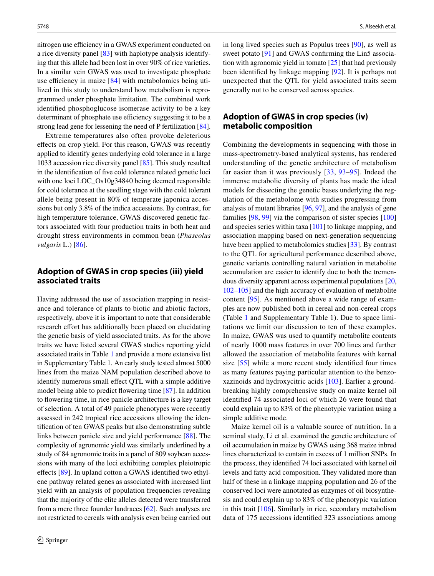nitrogen use efficiency in a GWAS experiment conducted on a rice diversity panel [\[83](#page-9-38)] with haplotype analysis identifying that this allele had been lost in over 90% of rice varieties. In a similar vein GWAS was used to investigate phosphate use efficiency in maize  $[84]$  $[84]$  with metabolomics being utilized in this study to understand how metabolism is reprogrammed under phosphate limitation. The combined work identifed phosphoglucose isomerase activity to be a key determinant of phosphate use efficiency suggesting it to be a strong lead gene for lessening the need of P fertilization [\[84](#page-9-39)].

Extreme temperatures also often provoke deleterious efects on crop yield. For this reason, GWAS was recently applied to identify genes underlying cold tolerance in a large 1033 accession rice diversity panel [[85\]](#page-9-37). This study resulted in the identifcation of fve cold tolerance related genetic loci with one loci LOC\_Os10g34840 being deemed responsible for cold tolerance at the seedling stage with the cold tolerant allele being present in 80% of temperate japonica accessions but only 3.8% of the indica accessions. By contrast, for high temperature tolerance, GWAS discovered genetic factors associated with four production traits in both heat and drought stress environments in common bean (*Phaseolus vulgaris* L.) [\[86](#page-9-40)].

#### **Adoption of GWAS in crop species (iii) yield associated traits**

Having addressed the use of association mapping in resistance and tolerance of plants to biotic and abiotic factors, respectively, above it is important to note that considerable research effort has additionally been placed on elucidating the genetic basis of yield associated traits. As for the above traits we have listed several GWAS studies reporting yield associated traits in Table [1](#page-4-0) and provide a more extensive list in Supplementary Table 1. An early study tested almost 5000 lines from the maize NAM population described above to identify numerous small effect QTL with a simple additive model being able to predict fowering time [\[87](#page-9-41)]. In addition to fowering time, in rice panicle architecture is a key target of selection. A total of 49 panicle phenotypes were recently assessed in 242 tropical rice accessions allowing the identifcation of ten GWAS peaks but also demonstrating subtle links between panicle size and yield performance [\[88](#page-9-36)]. The complexity of agronomic yield was similarly underlined by a study of 84 agronomic traits in a panel of 809 soybean accessions with many of the loci exhibiting complex pleiotropic effects [\[89](#page-9-34)]. In upland cotton a GWAS identified two ethylene pathway related genes as associated with increased lint yield with an analysis of population frequencies revealing that the majority of the elite alleles detected were transferred from a mere three founder landraces [[62\]](#page-9-13). Such analyses are not restricted to cereals with analysis even being carried out in long lived species such as Populus trees [[90\]](#page-9-42), as well as sweet potato [[91](#page-9-35)] and GWAS confirming the Lin5 association with agronomic yield in tomato [[25](#page-8-41)] that had previously been identifed by linkage mapping [\[92\]](#page-10-2). It is perhaps not unexpected that the QTL for yield associated traits seem generally not to be conserved across species.

### **Adoption of GWAS in crop species (iv) metabolic composition**

Combining the developments in sequencing with those in mass-spectrometry-based analytical systems, has rendered understanding of the genetic architecture of metabolism far easier than it was previously [\[33,](#page-8-27) [93](#page-10-3)[–95\]](#page-10-4). Indeed the immense metabolic diversity of plants has made the ideal models for dissecting the genetic bases underlying the regulation of the metabolome with studies progressing from analysis of mutant libraries [\[96](#page-10-5), [97\]](#page-10-6), and the analysis of gene families [\[98,](#page-10-7) [99\]](#page-10-8) via the comparison of sister species [[100\]](#page-10-9) and species series within taxa [[101](#page-10-10)] to linkage mapping, and association mapping based on next-generation sequencing have been applied to metabolomics studies [[33\]](#page-8-27). By contrast to the QTL for agricultural performance described above, genetic variants controlling natural variation in metabolite accumulation are easier to identify due to both the tremendous diversity apparent across experimental populations [\[20,](#page-8-19) [102](#page-10-11)[–105](#page-10-12)] and the high accuracy of evaluation of metabolite content [[95](#page-10-4)]. As mentioned above a wide range of examples are now published both in cereal and non-cereal crops (Table [1](#page-4-0) and Supplementary Table 1). Due to space limitations we limit our discussion to ten of these examples. In maize, GWAS was used to quantify metabolite contents of nearly 1000 mass features in over 700 lines and further allowed the association of metabolite features with kernal size [[55](#page-9-7)] while a more recent study identified four times as many features paying particular attention to the benzoxazinoids and hydroxycitric acids [[103](#page-10-0)]. Earlier a groundbreaking highly comprehensive study on maize kernel oil identifed 74 associated loci of which 26 were found that could explain up to 83% of the phenotypic variation using a simple additive mode.

Maize kernel oil is a valuable source of nutrition. In a seminal study, Li et al. examined the genetic architecture of oil accumulation in maize by GWAS using 368 maize inbred lines characterized to contain in excess of 1 million SNPs. In the process, they identifed 74 loci associated with kernel oil levels and fatty acid composition. They validated more than half of these in a linkage mapping population and 26 of the conserved loci were annotated as enzymes of oil biosynthesis and could explain up to 83% of the phenotypic variation in this trait [[106](#page-10-1)]. Similarly in rice, secondary metabolism data of 175 accessions identifed 323 associations among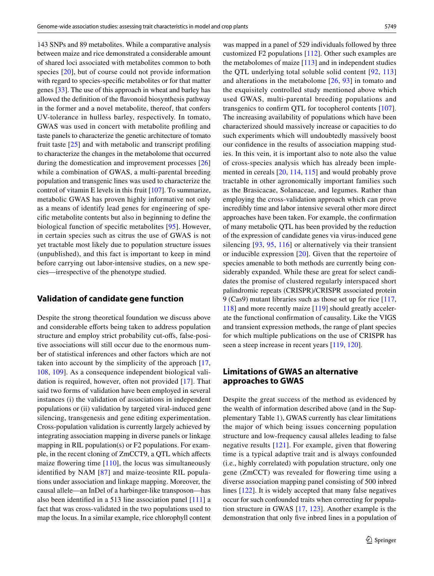143 SNPs and 89 metabolites. While a comparative analysis between maize and rice demonstrated a considerable amount of shared loci associated with metabolites common to both species [\[20\]](#page-8-19), but of course could not provide information with regard to species-specifc metabolites or for that matter genes [\[33](#page-8-27)]. The use of this approach in wheat and barley has allowed the defnition of the favonoid biosynthesis pathway in the former and a novel metabolite, thereof, that confers UV-tolerance in hulless barley, respectively. In tomato, GWAS was used in concert with metabolite profling and taste panels to characterize the genetic architecture of tomato fruit taste [[25](#page-8-41)] and with metabolic and transcript profling to characterize the changes in the metabolome that occurred during the domestication and improvement processes [[26\]](#page-8-20) while a combination of GWAS, a multi-parental breeding population and transgenic lines was used to characterize the control of vitamin E levels in this fruit [\[107](#page-10-13)]. To summarize, metabolic GWAS has proven highly informative not only as a means of identify lead genes for engineering of specifc metabolite contents but also in beginning to defne the biological function of specifc metabolites [\[95](#page-10-4)]. However, in certain species such as citrus the use of GWAS is not yet tractable most likely due to population structure issues (unpublished), and this fact is important to keep in mind before carrying out labor-intensive studies, on a new species—irrespective of the phenotype studied.

#### **Validation of candidate gene function**

Despite the strong theoretical foundation we discuss above and considerable efforts being taken to address population structure and employ strict probability cut-ofs, false-positive associations will still occur due to the enormous number of statistical inferences and other factors which are not taken into account by the simplicity of the approach [\[17,](#page-8-16) [108](#page-10-14), [109](#page-10-15)]. As a consequence independent biological validation is required, however, often not provided [\[17\]](#page-8-16). That said two forms of validation have been employed in several instances (i) the validation of associations in independent populations or (ii) validation by targeted viral-induced gene silencing, transgenesis and gene editing experimentation. Cross-population validation is currently largely achieved by integrating association mapping in diverse panels or linkage mapping in RIL population(s) or F2 populations. For example, in the recent cloning of ZmCCT9, a QTL which afects maize flowering time  $[110]$  $[110]$  $[110]$ , the locus was simultaneously identifed by NAM [[87](#page-9-41)] and maize-teosinte RIL populations under association and linkage mapping. Moreover, the causal allele—an InDel of a harbinger-like transposon—has also been identifed in a 513 line association panel [\[111](#page-10-17)] a fact that was cross-validated in the two populations used to map the locus. In a similar example, rice chlorophyll content

was mapped in a panel of 529 individuals followed by three customized F2 populations [\[112](#page-10-18)]. Other such examples are the metabolomes of maize  $[113]$  $[113]$  and in independent studies the QTL underlying total soluble solid content [\[92,](#page-10-2) [113\]](#page-10-19) and alterations in the metabolome [\[26,](#page-8-20) [93](#page-10-3)] in tomato and the exquisitely controlled study mentioned above which used GWAS, multi-parental breeding populations and transgenics to confrm QTL for tocopherol contents [[107](#page-10-13)]. The increasing availability of populations which have been characterized should massively increase or capacities to do such experiments which will undoubtedly massively boost our confdence in the results of association mapping studies. In this vein, it is important also to note also the value of cross-species analysis which has already been implemented in cereals [[20,](#page-8-19) [114](#page-10-20), [115](#page-10-21)] and would probably prove tractable in other agronomically important families such as the Brasicacae, Solanaceae, and legumes. Rather than employing the cross-validation approach which can prove incredibly time and labor intensive several other more direct approaches have been taken. For example, the confrmation of many metabolic QTL has been provided by the reduction of the expression of candidate genes via virus-induced gene silencing [[93](#page-10-3), [95](#page-10-4), [116\]](#page-10-22) or alternatively via their transient or inducible expression [[20](#page-8-19)]. Given that the repertoire of species amenable to both methods are currently being considerably expanded. While these are great for select candidates the promise of clustered regularly interspaced short palindromic repeats (CRISPR)/CRISPR associated protein 9 (Cas9) mutant libraries such as those set up for rice [[117,](#page-10-23) [118](#page-10-24)] and more recently maize [[119](#page-10-25)] should greatly accelerate the functional confrmation of causality. Like the VIGS and transient expression methods, the range of plant species for which multiple publications on the use of CRISPR has seen a steep increase in recent years [[119,](#page-10-25) [120\]](#page-10-26).

## **Limitations of GWAS an alternative approaches to GWAS**

Despite the great success of the method as evidenced by the wealth of information described above (and in the Supplementary Table 1), GWAS currently has clear limitations the major of which being issues concerning population structure and low-frequency causal alleles leading to false negative results  $[121]$  $[121]$  $[121]$ . For example, given that flowering time is a typical adaptive trait and is always confounded (i.e., highly correlated) with population structure, only one gene (ZmCCT) was revealed for fowering time using a diverse association mapping panel consisting of 500 inbred lines [\[122\]](#page-10-28). It is widely accepted that many false negatives occur for such confounded traits when correcting for population structure in GWAS [\[17](#page-8-16), [123](#page-10-29)]. Another example is the demonstration that only fve inbred lines in a population of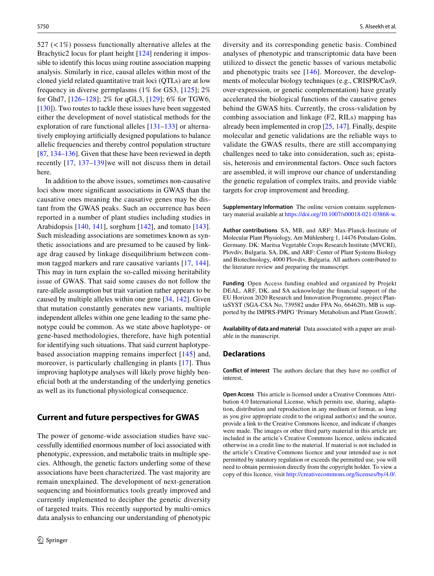527 ( $\lt$ 1%) possess functionally alternative alleles at the Brachytic2 locus for plant height [\[124](#page-10-30)] rendering it impossible to identify this locus using routine association mapping analysis. Similarly in rice, causal alleles within most of the cloned yield related quantitative trait loci (QTLs) are at low frequency in diverse germplasms (1% for GS3, [[125](#page-10-31)]; 2% for Ghd7, [[126](#page-10-32)[–128\]](#page-10-33); 2% for qGL3, [\[129\]](#page-10-34); 6% for TGW6, [\[130](#page-10-35)]). Two routes to tackle these issues have been suggested either the development of novel statistical methods for the exploration of rare functional alleles [\[131](#page-10-36)[–133\]](#page-10-37) or alternatively employing artifcially designed populations to balance allelic frequencies and thereby control population structure [\[87](#page-9-41), [134–](#page-11-10)[136\]](#page-11-11). Given that these have been reviewed in depth recently [[17](#page-8-16), [137–](#page-11-12)[139](#page-11-13)]we will not discuss them in detail here.

In addition to the above issues, sometimes non-causative loci show more signifcant associations in GWAS than the causative ones meaning the causative genes may be distant from the GWAS peaks. Such an occurrence has been reported in a number of plant studies including studies in Arabidopsis [\[140](#page-11-14), [141\]](#page-11-15), sorghum [\[142](#page-11-16)], and tomato [[143](#page-11-17)]. Such misleading associations are sometimes known as synthetic associations and are presumed to be caused by linkage drag caused by linkage disequilibrium between common tagged markers and rare causative variants [\[17,](#page-8-16) [144](#page-11-18)]. This may in turn explain the so-called missing heritability issue of GWAS. That said some causes do not follow the rare-allele assumption but trait variation rather appears to be caused by multiple alleles within one gene [[34,](#page-8-28) [142\]](#page-11-16). Given that mutation constantly generates new variants, multiple independent alleles within one gene leading to the same phenotype could be common. As we state above haplotype- or gene-based methodologies, therefore, have high potential for identifying such situations. That said current haplotypebased association mapping remains imperfect [\[145\]](#page-11-19) and, moreover, is particularly challenging in plants [\[17\]](#page-8-16). Thus improving haplotype analyses will likely prove highly benefcial both at the understanding of the underlying genetics as well as its functional physiological consequence.

#### **Current and future perspectives for GWAS**

The power of genome-wide association studies have successfully identifed enormous number of loci associated with phenotypic, expression, and metabolic traits in multiple species. Although, the genetic factors underling some of these associations have been characterized. The vast majority are remain unexplained. The development of next-generation sequencing and bioinformatics tools greatly improved and currently implemented to decipher the genetic diversity of targeted traits. This recently supported by multi‐omics data analysis to enhancing our understanding of phenotypic diversity and its corresponding genetic basis. Combined analyses of phenotypic and transcriptomic data have been utilized to dissect the genetic basses of various metabolic and phenotypic traits see [[146](#page-11-20)]. Moreover, the developments of molecular biology techniques (e.g., CRISPR/Cas9, over‐expression, or genetic complementation) have greatly accelerated the biological functions of the causative genes behind the GWAS hits. Currently, the cross-validation by combing association and linkage (F2, RILs) mapping has already been implemented in crop [\[25](#page-8-41), [147\]](#page-11-21). Finally, despite molecular and genetic validations are the reliable ways to validate the GWAS results, there are still accompanying challenges need to take into consideration, such as; epistasis, heterosis and environmental factors. Once such factors are assembled, it will improve our chance of understanding the genetic regulation of complex traits, and provide viable targets for crop improvement and breeding.

**Supplementary Information** The online version contains supplementary material available at<https://doi.org/10.1007/s00018-021-03868-w>.

**Author contributions** SA, MB, and ARF: Max-Planck-Institute of Molecular Plant Physiology, Am Mühlenberg 1, 14476 Potsdam-Golm, Germany. DK: Maritsa Vegetable Crops Research Institute (MVCRI), Plovdiv, Bulgaria. SA, DK, and ARF: Center of Plant Systems Biology and Biotechnology, 4000 Plovdiv, Bulgaria. All authors contributed to the literature review and preparing the manuscript.

**Funding** Open Access funding enabled and organized by Projekt DEAL. ARF, DK, and SA acknowledge the fnancial support of the EU Horizon 2020 Research and Innovation Programme, project PlantaSYST (SGA-CSA No, 739582 under FPA No, 664620), MB is supported by the IMPRS-PMPG 'Primary Metabolism and Plant Growth',

**Availability of data and material** Data associated with a paper are available in the manuscript.

#### **Declarations**

**Conflict of interest** The authors declare that they have no confict of interest,

**Open Access** This article is licensed under a Creative Commons Attribution 4.0 International License, which permits use, sharing, adaptation, distribution and reproduction in any medium or format, as long as you give appropriate credit to the original author(s) and the source, provide a link to the Creative Commons licence, and indicate if changes were made. The images or other third party material in this article are included in the article's Creative Commons licence, unless indicated otherwise in a credit line to the material. If material is not included in the article's Creative Commons licence and your intended use is not permitted by statutory regulation or exceeds the permitted use, you will need to obtain permission directly from the copyright holder. To view a copy of this licence, visit<http://creativecommons.org/licenses/by/4.0/>.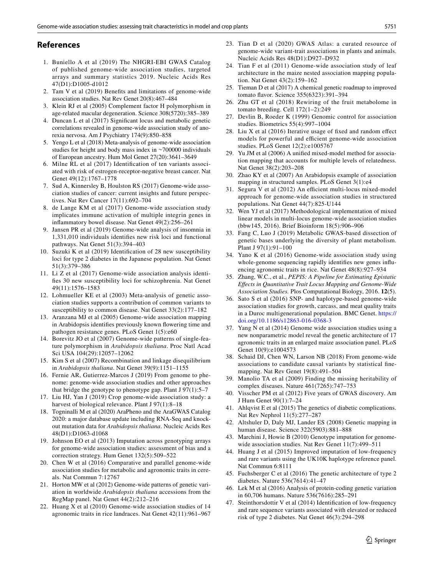#### **References**

- <span id="page-8-0"></span>1. Buniello A et al (2019) The NHGRI-EBI GWAS Catalog of published genome-wide association studies, targeted arrays and summary statistics 2019. Nucleic Acids Res 47(D1):D1005-d1012
- <span id="page-8-1"></span>2. Tam V et al (2019) Benefts and limitations of genome-wide association studies. Nat Rev Genet 20(8):467–484
- <span id="page-8-2"></span>3. Klein RJ et al (2005) Complement factor H polymorphism in age-related macular degeneration. Science 308(5720):385–389
- <span id="page-8-3"></span>4. Duncan L et al (2017) Signifcant locus and metabolic genetic correlations revealed in genome-wide association study of anorexia nervosa. Am J Psychiatry 174(9):850–858
- <span id="page-8-4"></span>5. Yengo L et al (2018) Meta-analysis of genome-wide association studies for height and body mass index in ∼700000 individuals of European ancestry. Hum Mol Genet 27(20):3641–3649
- <span id="page-8-5"></span>6. Milne RL et al (2017) Identifcation of ten variants associated with risk of estrogen-receptor-negative breast cancer. Nat Genet 49(12):1767–1778
- <span id="page-8-6"></span>7. Sud A, Kinnersley B, Houlston RS (2017) Genome-wide association studies of cancer: current insights and future perspectives. Nat Rev Cancer 17(11):692–704
- <span id="page-8-7"></span>8. de Lange KM et al (2017) Genome-wide association study implicates immune activation of multiple integrin genes in infammatory bowel disease. Nat Genet 49(2):256–261
- <span id="page-8-8"></span>9. Jansen PR et al (2019) Genome-wide analysis of insomnia in 1,331,010 individuals identifes new risk loci and functional pathways. Nat Genet 51(3):394–403
- <span id="page-8-9"></span>10. Suzuki K et al (2019) Identifcation of 28 new susceptibility loci for type 2 diabetes in the Japanese population. Nat Genet 51(3):379–386
- <span id="page-8-10"></span>11. Li Z et al (2017) Genome-wide association analysis identifes 30 new susceptibility loci for schizophrenia. Nat Genet 49(11):1576–1583
- <span id="page-8-11"></span>12. Lohmueller KE et al (2003) Meta-analysis of genetic association studies supports a contribution of common variants to susceptibility to common disease. Nat Genet 33(2):177–182
- <span id="page-8-12"></span>13. Aranzana MJ et al (2005) Genome-wide association mapping in Arabidopsis identifes previously known fowering time and pathogen resistance genes. PLoS Genet 1(5):e60
- <span id="page-8-13"></span>14. Borevitz JO et al (2007) Genome-wide patterns of single-feature polymorphism in *Arabidopsis thaliana*. Proc Natl Acad Sci USA 104(29):12057–12062
- <span id="page-8-14"></span>15. Kim S et al (2007) Recombination and linkage disequilibrium in *Arabidopsis thaliana*. Nat Genet 39(9):1151–1155
- <span id="page-8-15"></span>16. Fernie AR, Gutierrez-Marcos J (2019) From genome to phenome: genome-wide association studies and other approaches that bridge the genotype to phenotype gap. Plant J 97(1):5–7
- <span id="page-8-16"></span>17. Liu HJ, Yan J (2019) Crop genome-wide association study: a harvest of biological relevance. Plant J 97(1):8-18
- <span id="page-8-17"></span>18. Togninalli M et al (2020) AraPheno and the AraGWAS Catalog 2020: a major database update including RNA-Seq and knockout mutation data for *Arabidopsis thaliana*. Nucleic Acids Res 48(D1):D1063-d1068
- <span id="page-8-18"></span>19. Johnson EO et al (2013) Imputation across genotyping arrays for genome-wide association studies: assessment of bias and a correction strategy. Hum Genet 132(5):509–522
- <span id="page-8-19"></span>20. Chen W et al (2016) Comparative and parallel genome-wide association studies for metabolic and agronomic traits in cereals. Nat Commun 7:12767
- 21. Horton MW et al (2012) Genome-wide patterns of genetic variation in worldwide *Arabidopsis thaliana* accessions from the RegMap panel. Nat Genet 44(2):212–216
- <span id="page-8-40"></span>22. Huang X et al (2010) Genome-wide association studies of 14 agronomic traits in rice landraces. Nat Genet 42(11):961–967
- 23. Tian D et al (2020) GWAS Atlas: a curated resource of genome-wide variant-trait associations in plants and animals. Nucleic Acids Res 48(D1):D927–D932
- 24. Tian F et al (2011) Genome-wide association study of leaf architecture in the maize nested association mapping population. Nat Genet 43(2):159–162
- <span id="page-8-41"></span>Tieman D et al (2017) A chemical genetic roadmap to improved tomato favor. Science 355(6323):391–394
- <span id="page-8-20"></span>26. Zhu GT et al (2018) Rewiring of the fruit metabolome in tomato breeding. Cell 172(1–2):249
- <span id="page-8-21"></span>Devlin B, Roeder K (1999) Genomic control for association studies. Biometrics 55(4):997–1004
- <span id="page-8-22"></span>28. Liu X et al (2016) Iterative usage of fxed and random efect models for powerful and efficient genome-wide association studies. PLoS Genet 12(2):e1005767
- <span id="page-8-23"></span>29. Yu JM et al (2006) A unifed mixed-model method for association mapping that accounts for multiple levels of relatedness. Nat Genet 38(2):203–208
- <span id="page-8-24"></span>30. Zhao KY et al (2007) An Arabidopsis example of association mapping in structured samples. PLoS Genet 3(1):e4
- <span id="page-8-25"></span>31. Segura V et al (2012) An efficient multi-locus mixed-model approach for genome-wide association studies in structured populations. Nat Genet 44(7):825-U144
- <span id="page-8-26"></span>32. Wen YJ et al (2017) Methodological implementation of mixed linear models in multi-locus genome-wide association studies (bbw145, 2016). Brief Bioinform 18(5):906–906
- <span id="page-8-27"></span>33. Fang C, Luo J (2019) Metabolic GWAS-based dissection of genetic bases underlying the diversity of plant metabolism. Plant J 97(1):91–100
- <span id="page-8-28"></span>34. Yano K et al (2016) Genome-wide association study using whole-genome sequencing rapidly identifes new genes infuencing agronomic traits in rice. Nat Genet 48(8):927–934
- 35. Zhang, W.C., et al., *PEPIS: A Pipeline for Estimating Epistatic Efects in Quantitative Trait Locus Mapping and Genome-Wide Association Studies.* Plos Computational Biology, 2016. **12**(5).
- <span id="page-8-29"></span>36. Sato S et al (2016) SNP- and haplotype-based genome-wide association studies for growth, carcass, and meat quality traits in a Duroc multigenerational population. BMC Genet. [https://](https://doi.org/10.1186/s12863-016-0368-3) [doi.org/10.1186/s12863-016-0368-3](https://doi.org/10.1186/s12863-016-0368-3)
- <span id="page-8-30"></span>37. Yang N et al (2014) Genome wide association studies using a new nonparametric model reveal the genetic architecture of 17 agronomic traits in an enlarged maize association panel. PLoS Genet 10(9):e1004573
- <span id="page-8-31"></span>38. Schaid DJ, Chen WN, Larson NB (2018) From genome-wide associations to candidate causal variants by statistical fnemapping. Nat Rev Genet 19(8):491–504
- <span id="page-8-32"></span>39. Manolio TA et al (2009) Finding the missing heritability of complex diseases. Nature 461(7265):747–753
- <span id="page-8-33"></span>40. Visscher PM et al (2012) Five years of GWAS discovery. Am J Hum Genet 90(1):7–24
- <span id="page-8-34"></span>41. Ahlqvist E et al (2015) The genetics of diabetic complications. Nat Rev Nephrol 11(5):277–287
- <span id="page-8-35"></span>42. Altshuler D, Daly MJ, Lander ES (2008) Genetic mapping in human disease. Science 322(5903):881–888
- <span id="page-8-36"></span>43. Marchini J, Howie B (2010) Genotype imputation for genomewide association studies. Nat Rev Genet 11(7):499–511
- <span id="page-8-37"></span>44. Huang J et al (2015) Improved imputation of low-frequency and rare variants using the UK10K haplotype reference panel. Nat Commun 6:8111
- <span id="page-8-38"></span>45. Fuchsberger C et al (2016) The genetic architecture of type 2 diabetes. Nature 536(7614):41–47
- 46. Lek M et al (2016) Analysis of protein-coding genetic variation in 60,706 humans. Nature 536(7616):285–291
- <span id="page-8-39"></span>47. Steinthorsdottir V et al (2014) Identifcation of low-frequency and rare sequence variants associated with elevated or reduced risk of type 2 diabetes. Nat Genet 46(3):294–298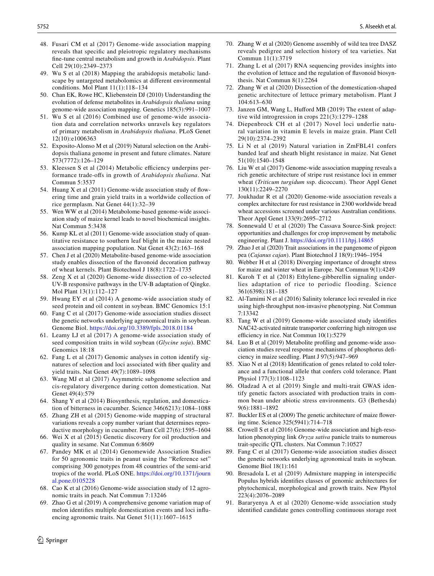- <span id="page-9-0"></span>48. Fusari CM et al (2017) Genome-wide association mapping reveals that specifc and pleiotropic regulatory mechanisms fne-tune central metabolism and growth in *Arabidopsis*. Plant Cell 29(10):2349–2373
- <span id="page-9-3"></span>49. Wu S et al (2018) Mapping the arabidopsis metabolic landscape by untargeted metabolomics at diferent environmental conditions. Mol Plant 11(1):118–134
- <span id="page-9-4"></span>50. Chan EK, Rowe HC, Kliebenstein DJ (2010) Understanding the evolution of defense metabolites in *Arabidopsis thaliana* using genome-wide association mapping. Genetics 185(3):991–1007
- <span id="page-9-2"></span>51. Wu S et al (2016) Combined use of genome-wide association data and correlation networks unravels key regulators of primary metabolism in *Arabidopsis thaliana*. PLoS Genet 12(10):e1006363
- <span id="page-9-1"></span>52. Exposito-Alonso M et al (2019) Natural selection on the Arabidopsis thaliana genome in present and future climates. Nature 573(7772):126–129
- <span id="page-9-5"></span>53. Kleessen S et al (2014) Metabolic efficiency underpins performance trade-ofs in growth of *Arabidopsis thaliana*. Nat Commun 5:3537
- <span id="page-9-6"></span>54. Huang X et al (2011) Genome-wide association study of fowering time and grain yield traits in a worldwide collection of rice germplasm. Nat Genet 44(1):32–39
- <span id="page-9-7"></span>55. Wen WW et al (2014) Metabolome-based genome-wide association study of maize kernel leads to novel biochemical insights. Nat Commun 5:3438
- <span id="page-9-8"></span>56. Kump KL et al (2011) Genome-wide association study of quantitative resistance to southern leaf blight in the maize nested association mapping population. Nat Genet 43(2):163–168
- <span id="page-9-9"></span>57. Chen J et al (2020) Metabolite-based genome-wide association study enables dissection of the favonoid decoration pathway of wheat kernels. Plant Biotechnol J 18(8):1722–1735
- <span id="page-9-10"></span>58. Zeng X et al (2020) Genome-wide dissection of co-selected UV-B responsive pathways in the UV-B adaptation of Qingke. Mol Plant 13(1):112–127
- <span id="page-9-11"></span>59. Hwang EY et al (2014) A genome-wide association study of seed protein and oil content in soybean. BMC Genomics 15:1
- 60. Fang C et al (2017) Genome-wide association studies dissect the genetic networks underlying agronomical traits in soybean. Genome Biol.<https://doi.org/10.3389/fpls.2018.01184>
- <span id="page-9-12"></span>61. Leamy LJ et al (2017) A genome-wide association study of seed composition traits in wild soybean (*Glycine soja*). BMC Genomics 18:18
- <span id="page-9-13"></span>62. Fang L et al (2017) Genomic analyses in cotton identify signatures of selection and loci associated with fber quality and yield traits. Nat Genet 49(7):1089–1098
- <span id="page-9-14"></span>63. Wang MJ et al (2017) Asymmetric subgenome selection and cis-regulatory divergence during cotton domestication. Nat Genet 49(4):579
- <span id="page-9-15"></span>64. Shang Y et al (2014) Biosynthesis, regulation, and domestication of bitterness in cucumber. Science 346(6213):1084–1088
- <span id="page-9-16"></span>65. Zhang ZH et al (2015) Genome-wide mapping of structural variations reveals a copy number variant that determines reproductive morphology in cucumber. Plant Cell 27(6):1595–1604
- <span id="page-9-17"></span>66. Wei X et al (2015) Genetic discovery for oil production and quality in sesame. Nat Commun 6:8609
- <span id="page-9-18"></span>67. Pandey MK et al (2014) Genomewide Association Studies for 50 agronomic traits in peanut using the "Reference set" comprising 300 genotypes from 48 countries of the semi-arid tropics of the world. PLoS ONE. [https://doi.org/10.1371/journ](https://doi.org/10.1371/journal.pone.0105228) [al.pone.0105228](https://doi.org/10.1371/journal.pone.0105228)
- <span id="page-9-19"></span>68. Cao K et al (2016) Genome-wide association study of 12 agronomic traits in peach. Nat Commun 7:13246
- <span id="page-9-20"></span>69. Zhao G et al (2019) A comprehensive genome variation map of melon identifes multiple domestication events and loci infuencing agronomic traits. Nat Genet 51(11):1607–1615
- <span id="page-9-21"></span>70. Zhang W et al (2020) Genome assembly of wild tea tree DASZ reveals pedigree and selection history of tea varieties. Nat Commun 11(1):3719
- <span id="page-9-22"></span>71. Zhang L et al (2017) RNA sequencing provides insights into the evolution of lettuce and the regulation of favonoid biosynthesis. Nat Commun 8(1):2264
- <span id="page-9-23"></span>72. Zhang W et al (2020) Dissection of the domestication-shaped genetic architecture of lettuce primary metabolism. Plant J 104:613–630
- <span id="page-9-24"></span>73. Janzen GM, Wang L, Hufford MB (2019) The extent of adaptive wild introgression in crops 221(3):1279–1288
- <span id="page-9-25"></span>74. Diepenbrock CH et al (2017) Novel loci underlie natural variation in vitamin E levels in maize grain. Plant Cell 29(10):2374–2392
- <span id="page-9-26"></span>75. Li N et al (2019) Natural variation in ZmFBL41 confers banded leaf and sheath blight resistance in maize. Nat Genet 51(10):1540–1548
- <span id="page-9-27"></span>76. Liu W et al (2017) Genome-wide association mapping reveals a rich genetic architecture of stripe rust resistance loci in emmer wheat (*Triticum turgidum* ssp. dicoccum). Theor Appl Genet 130(11):2249–2270
- <span id="page-9-28"></span>77. Joukhadar R et al (2020) Genome-wide association reveals a complex architecture for rust resistance in 2300 worldwide bread wheat accessions screened under various Australian conditions. Theor Appl Genet 133(9):2695–2712
- <span id="page-9-29"></span>78. Sonnewald U et al (2020) The Cassava Source-Sink project: opportunities and challenges for crop improvement by metabolic engineering. Plant J. <https://doi.org/10.1111/tpj.14865>
- <span id="page-9-30"></span>79. Zhao J et al (2020) Trait associations in the pangenome of pigeon pea (*Cajanus cajan*). Plant Biotechnol J 18(9):1946–1954
- <span id="page-9-31"></span>80. Webber H et al (2018) Diverging importance of drought stress for maize and winter wheat in Europe. Nat Commun 9(1):4249
- <span id="page-9-32"></span>81. Kuroh T et al (2018) Ethylene-gibberellin signaling underlies adaptation of rice to periodic flooding. Science 361(6398):181–185
- <span id="page-9-33"></span>82. Al-Tamimi N et al (2016) Salinity tolerance loci revealed in rice using high-throughput non-invasive phenotyping. Nat Commun 7:13342
- <span id="page-9-38"></span>83. Tang W et al (2019) Genome-wide associated study identifes NAC42-activated nitrate transporter conferring high nitrogen use efficiency in rice. Nat Commun  $10(1)$ :5279
- <span id="page-9-39"></span>84. Luo B et al (2019) Metabolite profling and genome-wide association studies reveal response mechanisms of phosphorus defciency in maize seedling. Plant J 97(5):947–969
- <span id="page-9-37"></span>Xiao N et al (2018) Identification of genes related to cold tolerance and a functional allele that confers cold tolerance. Plant Physiol 177(3):1108–1123
- <span id="page-9-40"></span>86. Oladzad A et al (2019) Single and multi-trait GWAS identify genetic factors associated with production traits in common bean under abiotic stress environments. G3 (Bethesda) 9(6):1881–1892
- <span id="page-9-41"></span>87. Buckler ES et al (2009) The genetic architecture of maize fowering time. Science 325(5941):714–718
- <span id="page-9-36"></span>88. Crowell S et al (2016) Genome-wide association and high-resolution phenotyping link *Oryza sativa* panicle traits to numerous trait-specifc QTL clusters. Nat Commun 7:10527
- <span id="page-9-34"></span>89. Fang C et al (2017) Genome-wide association studies dissect the genetic networks underlying agronomical traits in soybean. Genome Biol 18(1):161
- <span id="page-9-42"></span>90. Bresadola L et al (2019) Admixture mapping in interspecifc Populus hybrids identifes classes of genomic architectures for phytochemical, morphological and growth traits. New Phytol 223(4):2076–2089
- <span id="page-9-35"></span>91. Bararyenya A et al (2020) Genome-wide association study identifed candidate genes controlling continuous storage root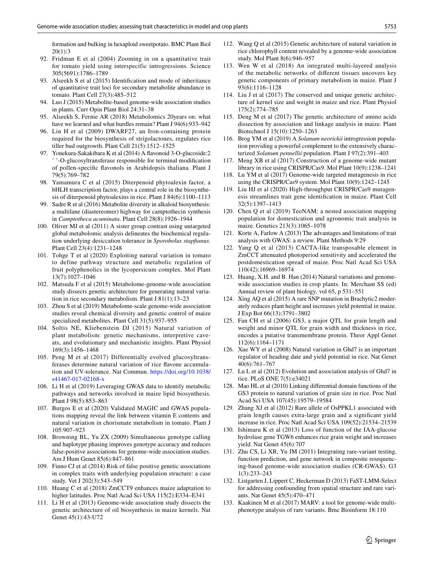formation and bulking in hexaploid sweetpotato. BMC Plant Biol 20(1):3

- <span id="page-10-2"></span>92. Fridman E et al (2004) Zooming in on a quantitative trait for tomato yield using interspecific introgressions. Science 305(5691):1786–1789
- <span id="page-10-3"></span>93. Alseekh S et al (2015) Identifcation and mode of inheritance of quantitative trait loci for secondary metabolite abundance in tomato. Plant Cell 27(3):485–512
- 94. Luo J (2015) Metabolite-based genome-wide association studies in plants. Curr Opin Plant Biol 24:31–38
- <span id="page-10-4"></span>95. Alseekh S, Fernie AR (2018) Metabolomics 20years on: what have we learned and what hurdles remain? Plant J 94(6):933–942
- <span id="page-10-5"></span>96. Lin H et al (2009) DWARF27, an Iron-containing protein required for the biosynthesis of strigolactones, regulates rice tiller bud outgrowth. Plant Cell 21(5):1512–1525
- <span id="page-10-6"></span>97. Yonekura-Sakakibara K et al (2014) A favonoid 3-O-glucoside:2 ' '-O-glucosyltransferase responsible for terminal modifcation of pollen-specifc favonols in Arabidopsis thaliana. Plant J 79(5):769–782
- <span id="page-10-7"></span>98. Yamamura C et al (2015) Diterpenoid phytoalexin factor, a bHLH transcription factor, plays a central role in the biosynthesis of diterpenoid phytoalexins in rice. Plant J 84(6):1100–1113
- <span id="page-10-8"></span>99. Sadre R et al (2016) Metabolite diversity in alkaloid biosynthesis: a multilane (diastereomer) highway for camptothecin synthesis in *Camptotheca acuminata*. Plant Cell 28(8):1926–1944
- <span id="page-10-9"></span>100. Oliver MJ et al (2011) A sister group contrast using untargeted global metabolomic analysis delineates the biochemical regulation underlying desiccation tolerance in *Sporobolus stapfanus*. Plant Cell 23(4):1231–1248
- <span id="page-10-10"></span>101. Tohge T et al (2020) Exploiting natural variation in tomato to define pathway structure and metabolic regulation of fruit polyphenolics in the lycopersicum complex. Mol Plant 13(7):1027–1046
- <span id="page-10-11"></span>102. Matsuda F et al (2015) Metabolome-genome-wide association study dissects genetic architecture for generating natural variation in rice secondary metabolism. Plant J 81(1):13–23
- <span id="page-10-0"></span>103. Zhou S et al (2019) Metabolome-scale genome-wide association studies reveal chemical diversity and genetic control of maize specialized metabolites. Plant Cell 31(5):937–955
- 104. Soltis NE, Kliebenstein DJ (2015) Natural variation of plant metabolism: genetic mechanisms, interpretive caveats, and evolutionary and mechanistic insights. Plant Physiol 169(3):1456–1468
- <span id="page-10-12"></span>105. Peng M et al (2017) Differentially evolved glucosyltransferases determine natural variation of rice favone accumulation and UV-tolerance. Nat Commun. [https://doi.org/10.1038/](https://doi.org/10.1038/s41467-017-02168-x) [s41467-017-02168-x](https://doi.org/10.1038/s41467-017-02168-x)
- <span id="page-10-1"></span>106. Li H et al (2019) Leveraging GWAS data to identify metabolic pathways and networks involved in maize lipid biosynthesis. Plant J 98(5):853–863
- <span id="page-10-13"></span>107. Burgos E et al (2020) Validated MAGIC and GWAS populations mapping reveal the link between vitamin E contents and natural variation in chorismate metabolism in tomato. Plant J 105:907–923
- <span id="page-10-14"></span>108. Browning BL, Yu ZX (2009) Simultaneous genotype calling and haplotype phasing improves genotype accuracy and reduces false-positive associations for genome-wide association studies. Am J Hum Genet 85(6):847–861
- <span id="page-10-15"></span>109. Finno CJ et al (2014) Risk of false positive genetic associations in complex traits with underlying population structure: a case study. Vet J 202(3):543–549
- <span id="page-10-16"></span>110. Huang C et al (2018) ZmCCT9 enhances maize adaptation to higher latitudes. Proc Natl Acad Sci USA 115(2):E334–E341
- <span id="page-10-17"></span>111. Li H et al (2013) Genome-wide association study dissects the genetic architecture of oil biosynthesis in maize kernels. Nat Genet 45(1):43-U72
- <span id="page-10-18"></span>112. Wang Q et al (2015) Genetic architecture of natural variation in rice chlorophyll content revealed by a genome-wide association study. Mol Plant 8(6):946–957
- <span id="page-10-19"></span>113. Wen W et al (2018) An integrated multi-layered analysis of the metabolic networks of diferent tissues uncovers key genetic components of primary metabolism in maize. Plant J 93(6):1116–1128
- <span id="page-10-20"></span>114. Liu J et al (2017) The conserved and unique genetic architecture of kernel size and weight in maize and rice. Plant Physiol 175(2):774–785
- <span id="page-10-21"></span>115. Deng M et al (2017) The genetic architecture of amino acids dissection by association and linkage analysis in maize. Plant Biotechnol J 15(10):1250–1263
- <span id="page-10-22"></span>116. Brog YM et al (2019) A *Solanum neorickii* introgression population providing a powerful complement to the extensively characterized *Solanum pennellii* population. Plant J 97(2):391–403
- <span id="page-10-23"></span>117. Meng XB et al (2017) Construction of a genome-wide mutant library in rice using CRISPR/Cas9. Mol Plant 10(9):1238–1241
- <span id="page-10-24"></span>118. Lu YM et al (2017) Genome-wide targeted mutagenesis in rice using the CRISPR/Cas9 system. Mol Plant 10(9):1242–1245
- <span id="page-10-25"></span>119. Liu HJ et al (2020) High-throughput CRISPR/Cas9 mutagenesis streamlines trait gene identifcation in maize. Plant Cell 32(5):1397–1413
- <span id="page-10-26"></span>120. Chen Q et al (2019) TeoNAM: a nested association mapping population for domestication and agronomic trait analysis in maize. Genetics 213(3):1065–1078
- <span id="page-10-27"></span>121. Korte A, Farlow A (2013) The advantages and limitations of trait analysis with GWAS: a review. Plant Methods 9:29
- <span id="page-10-28"></span>122. Yang Q et al (2013) CACTA-like transposable element in ZmCCT attenuated photoperiod sensitivity and accelerated the postdomestication spread of maize. Proc Natl Acad Sci USA 110(42):16969–16974
- <span id="page-10-29"></span>123. Huang, X.H. and B. Han (2014) Natural variations and genomewide association studies in crop plants. In: Merchant SS (ed) Annual review of plant biology*,* vol 65, p 531–551
- <span id="page-10-30"></span>124. Xing AQ et al (2015) A rare SNP mutation in Brachytic2 moderately reduces plant height and increases yield potential in maize. J Exp Bot 66(13):3791–3802
- <span id="page-10-31"></span>125. Fan CH et al (2006) GS3, a major QTL for grain length and weight and minor QTL for grain width and thickness in rice, encodes a putative transmembrane protein. Theor Appl Genet 112(6):1164–1171
- <span id="page-10-32"></span>126. Xue WY et al (2008) Natural variation in Ghd7 is an important regulator of heading date and yield potential in rice. Nat Genet 40(6):761–767
- 127. Lu L et al (2012) Evolution and association analysis of Ghd7 in rice. PLoS ONE 7(5):e34021
- <span id="page-10-33"></span>128. Mao HL et al (2010) Linking diferential domain functions of the GS3 protein to natural variation of grain size in rice. Proc Natl Acad Sci USA 107(45):19579–19584
- <span id="page-10-34"></span>129. Zhang XJ et al (2012) Rare allele of OsPPKL1 associated with grain length causes extra-large grain and a signifcant yield increase in rice. Proc Natl Acad Sci USA 109(52):21534–21539
- <span id="page-10-35"></span>130. Ishimaru K et al (2013) Loss of function of the IAA-glucose hydrolase gene TGW6 enhances rice grain weight and increases yield. Nat Genet 45(6):707
- <span id="page-10-36"></span>131. Zhu CS, Li XR, Yu JM (2011) Integrating rare-variant testing, function prediction, and gene network in composite resequencing-based genome-wide association studies (CR-GWAS). G3 1(3):233–243
- 132. Listgarten J, Lippert C, Heckerman D (2013) FaST-LMM-Select for addressing confounding from spatial structure and rare variants. Nat Genet 45(5):470–471
- <span id="page-10-37"></span>133. Kaakinen M et al (2017) MARV: a tool for genome-wide multiphenotype analysis of rare variants. Bmc Bioinform 18:110